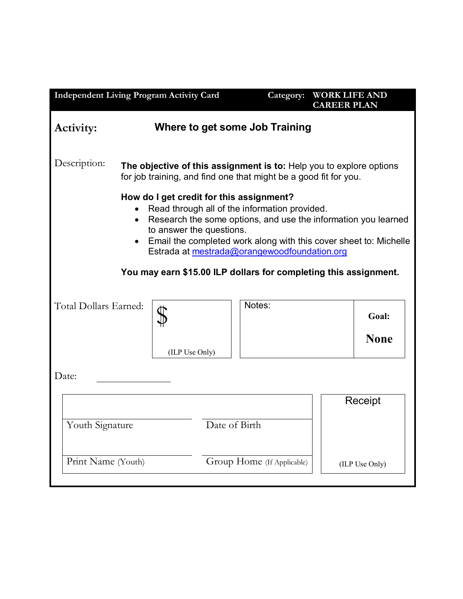| <b>Independent Living Program Activity Card</b>  |                                                                                                                                                                                                                                                                                                                                                                                  | Category:      | <b>WORK LIFE AND</b><br><b>CAREER PLAN</b> |                      |
|--------------------------------------------------|----------------------------------------------------------------------------------------------------------------------------------------------------------------------------------------------------------------------------------------------------------------------------------------------------------------------------------------------------------------------------------|----------------|--------------------------------------------|----------------------|
| Where to get some Job Training<br>Activity:      |                                                                                                                                                                                                                                                                                                                                                                                  |                |                                            |                      |
| Description:                                     | The objective of this assignment is to: Help you to explore options<br>for job training, and find one that might be a good fit for you.                                                                                                                                                                                                                                          |                |                                            |                      |
| $\bullet$<br>$\bullet$                           | How do I get credit for this assignment?<br>Read through all of the information provided.<br>Research the some options, and use the information you learned<br>to answer the questions.<br>Email the completed work along with this cover sheet to: Michelle<br>Estrada at mestrada@orangewoodfoundation.org<br>You may earn \$15.00 ILP dollars for completing this assignment. |                |                                            |                      |
| Total Dollars Earned:                            | (ILP Use Only)                                                                                                                                                                                                                                                                                                                                                                   | Notes:         |                                            | Goal:<br><b>None</b> |
| Date:                                            |                                                                                                                                                                                                                                                                                                                                                                                  |                |                                            |                      |
| Receipt<br>Youth Signature<br>Date of Birth      |                                                                                                                                                                                                                                                                                                                                                                                  |                |                                            |                      |
| Group Home (If Applicable)<br>Print Name (Youth) |                                                                                                                                                                                                                                                                                                                                                                                  | (ILP Use Only) |                                            |                      |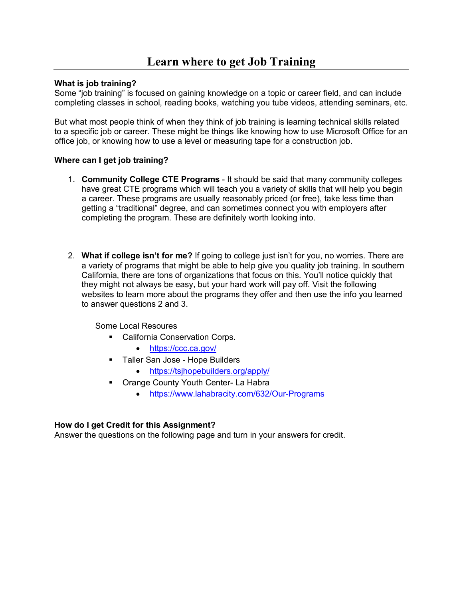## **Learn where to get Job Training**

## **What is job training?**

Some "job training" is focused on gaining knowledge on a topic or career field, and can include completing classes in school, reading books, watching you tube videos, attending seminars, etc.

But what most people think of when they think of job training is learning technical skills related to a specific job or career. These might be things like knowing how to use Microsoft Office for an office job, or knowing how to use a level or measuring tape for a construction job.

## **Where can I get job training?**

- 1. **Community College CTE Programs** It should be said that many community colleges have great CTE programs which will teach you a variety of skills that will help you begin a career. These programs are usually reasonably priced (or free), take less time than getting a "traditional" degree, and can sometimes connect you with employers after completing the program. These are definitely worth looking into.
- 2. **What if college isn't for me?** If going to college just isn't for you, no worries. There are a variety of programs that might be able to help give you quality job training. In southern California, there are tons of organizations that focus on this. You'll notice quickly that they might not always be easy, but your hard work will pay off. Visit the following websites to learn more about the programs they offer and then use the info you learned to answer questions 2 and 3.

Some Local Resoures

- **California Conservation Corps.** 
	- <https://ccc.ca.gov/>
- **Taller San Jose Hope Builders** 
	- <https://tsjhopebuilders.org/apply/>
- Orange County Youth Center- La Habra
	- <https://www.lahabracity.com/632/Our-Programs>

## **How do I get Credit for this Assignment?**

Answer the questions on the following page and turn in your answers for credit.